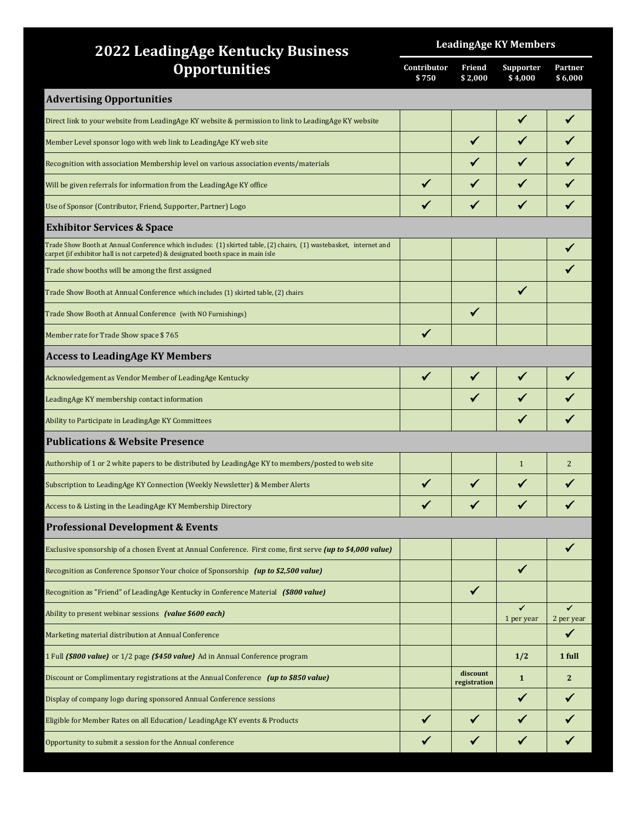| <b>2022 LeadingAge Kentucky Business</b>                                                                                                                                                               | <b>LeadingAge KY Members</b> |                          |                            |                            |  |
|--------------------------------------------------------------------------------------------------------------------------------------------------------------------------------------------------------|------------------------------|--------------------------|----------------------------|----------------------------|--|
| <b>Opportunities</b>                                                                                                                                                                                   |                              | Friend<br>\$2,000        | Supporter<br>\$4,000       | Partner<br>\$6,000         |  |
| <b>Advertising Opportunities</b>                                                                                                                                                                       |                              |                          |                            |                            |  |
| Direct link to your website from LeadingAge KY website & permission to link to LeadingAge KY website                                                                                                   |                              |                          |                            |                            |  |
| Member Level sponsor logo with web link to LeadingAge KY web site                                                                                                                                      |                              |                          |                            |                            |  |
| Recognition with association Membership level on various association events/materials                                                                                                                  |                              |                          |                            |                            |  |
| Will be given referrals for information from the LeadingAge KY office                                                                                                                                  | $\checkmark$                 |                          |                            |                            |  |
| Use of Sponsor (Contributor, Friend, Supporter, Partner) Logo                                                                                                                                          |                              |                          |                            |                            |  |
| <b>Exhibitor Services &amp; Space</b>                                                                                                                                                                  |                              |                          |                            |                            |  |
| Trade Show Booth at Annual Conference which includes: (1) skirted table, (2) chairs, (1) wastebasket, internet and<br>carpet (if exhibitor hall is not carpeted) & designated booth space in main isle |                              |                          |                            |                            |  |
| Trade show booths will be among the first assigned                                                                                                                                                     |                              |                          |                            |                            |  |
| Trade Show Booth at Annual Conference which includes (1) skirted table, (2) chairs                                                                                                                     |                              |                          |                            |                            |  |
| Trade Show Booth at Annual Conference (with NO Furnishings)                                                                                                                                            |                              | $\checkmark$             |                            |                            |  |
| Member rate for Trade Show space \$765                                                                                                                                                                 |                              |                          |                            |                            |  |
| <b>Access to LeadingAge KY Members</b>                                                                                                                                                                 |                              |                          |                            |                            |  |
| Acknowledgement as Vendor Member of LeadingAge Kentucky                                                                                                                                                |                              |                          |                            |                            |  |
| LeadingAge KY membership contact information                                                                                                                                                           |                              |                          |                            |                            |  |
| Ability to Participate in LeadingAge KY Committees                                                                                                                                                     |                              |                          |                            |                            |  |
| <b>Publications &amp; Website Presence</b>                                                                                                                                                             |                              |                          |                            |                            |  |
| Authorship of 1 or 2 white papers to be distributed by LeadingAge KY to members/posted to web site                                                                                                     |                              |                          | $\mathbf{1}$               | $\overline{2}$             |  |
| Subscription to LeadingAge KY Connection (Weekly Newsletter) & Member Alerts                                                                                                                           |                              | ✓                        |                            |                            |  |
| Access to & Listing in the LeadingAge KY Membership Directory                                                                                                                                          |                              |                          |                            |                            |  |
| <b>Professional Development &amp; Events</b>                                                                                                                                                           |                              |                          |                            |                            |  |
| Exclusive sponsorship of a chosen Event at Annual Conference. First come, first serve (up to \$4,000 value)                                                                                            |                              |                          |                            |                            |  |
| Recognition as Conference Sponsor Your choice of Sponsorship (up to \$2,500 value)                                                                                                                     |                              |                          | ✔                          |                            |  |
| Recognition as "Friend" of LeadingAge Kentucky in Conference Material (\$800 value)                                                                                                                    |                              | $\checkmark$             |                            |                            |  |
| Ability to present webinar sessions (value \$600 each)                                                                                                                                                 |                              |                          | $\checkmark$<br>1 per year | $\checkmark$<br>2 per year |  |
| Marketing material distribution at Annual Conference                                                                                                                                                   |                              |                          |                            | $\checkmark$               |  |
| 1 Full (\$800 value) or 1/2 page (\$450 value) Ad in Annual Conference program                                                                                                                         |                              |                          | 1/2                        | 1 full                     |  |
| Discount or Complimentary registrations at the Annual Conference (up to \$850 value)                                                                                                                   |                              | discount<br>registration | $\mathbf{1}$               | $\overline{2}$             |  |
| Display of company logo during sponsored Annual Conference sessions                                                                                                                                    |                              |                          | ✓                          |                            |  |
| Eligible for Member Rates on all Education/LeadingAge KY events & Products                                                                                                                             |                              |                          |                            |                            |  |
| Opportunity to submit a session for the Annual conference                                                                                                                                              |                              |                          | ✔                          |                            |  |